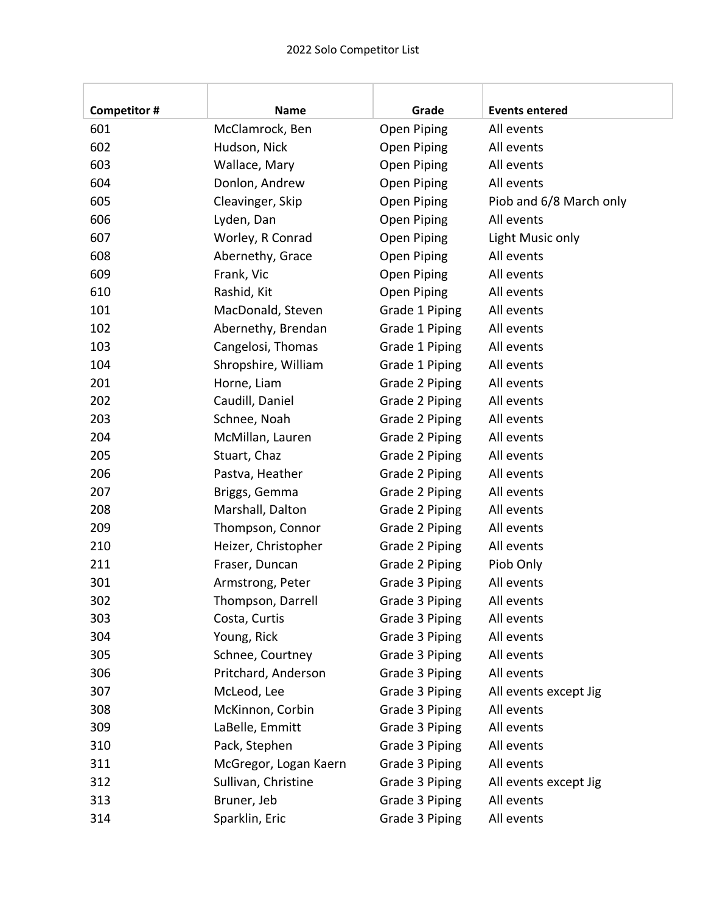| <b>Competitor#</b> | <b>Name</b>           | Grade          | <b>Events entered</b>   |
|--------------------|-----------------------|----------------|-------------------------|
| 601                | McClamrock, Ben       | Open Piping    | All events              |
| 602                | Hudson, Nick          | Open Piping    | All events              |
| 603                | Wallace, Mary         | Open Piping    | All events              |
| 604                | Donlon, Andrew        | Open Piping    | All events              |
| 605                | Cleavinger, Skip      | Open Piping    | Piob and 6/8 March only |
| 606                | Lyden, Dan            | Open Piping    | All events              |
| 607                | Worley, R Conrad      | Open Piping    | Light Music only        |
| 608                | Abernethy, Grace      | Open Piping    | All events              |
| 609                | Frank, Vic            | Open Piping    | All events              |
| 610                | Rashid, Kit           | Open Piping    | All events              |
| 101                | MacDonald, Steven     | Grade 1 Piping | All events              |
| 102                | Abernethy, Brendan    | Grade 1 Piping | All events              |
| 103                | Cangelosi, Thomas     | Grade 1 Piping | All events              |
| 104                | Shropshire, William   | Grade 1 Piping | All events              |
| 201                | Horne, Liam           | Grade 2 Piping | All events              |
| 202                | Caudill, Daniel       | Grade 2 Piping | All events              |
| 203                | Schnee, Noah          | Grade 2 Piping | All events              |
| 204                | McMillan, Lauren      | Grade 2 Piping | All events              |
| 205                | Stuart, Chaz          | Grade 2 Piping | All events              |
| 206                | Pastva, Heather       | Grade 2 Piping | All events              |
| 207                | Briggs, Gemma         | Grade 2 Piping | All events              |
| 208                | Marshall, Dalton      | Grade 2 Piping | All events              |
| 209                | Thompson, Connor      | Grade 2 Piping | All events              |
| 210                | Heizer, Christopher   | Grade 2 Piping | All events              |
| 211                | Fraser, Duncan        | Grade 2 Piping | Piob Only               |
| 301                | Armstrong, Peter      | Grade 3 Piping | All events              |
| 302                | Thompson, Darrell     | Grade 3 Piping | All events              |
| 303                | Costa, Curtis         | Grade 3 Piping | All events              |
| 304                | Young, Rick           | Grade 3 Piping | All events              |
| 305                | Schnee, Courtney      | Grade 3 Piping | All events              |
| 306                | Pritchard, Anderson   | Grade 3 Piping | All events              |
| 307                | McLeod, Lee           | Grade 3 Piping | All events except Jig   |
| 308                | McKinnon, Corbin      | Grade 3 Piping | All events              |
| 309                | LaBelle, Emmitt       | Grade 3 Piping | All events              |
| 310                | Pack, Stephen         | Grade 3 Piping | All events              |
| 311                | McGregor, Logan Kaern | Grade 3 Piping | All events              |
| 312                | Sullivan, Christine   | Grade 3 Piping | All events except Jig   |
| 313                | Bruner, Jeb           | Grade 3 Piping | All events              |
| 314                | Sparklin, Eric        | Grade 3 Piping | All events              |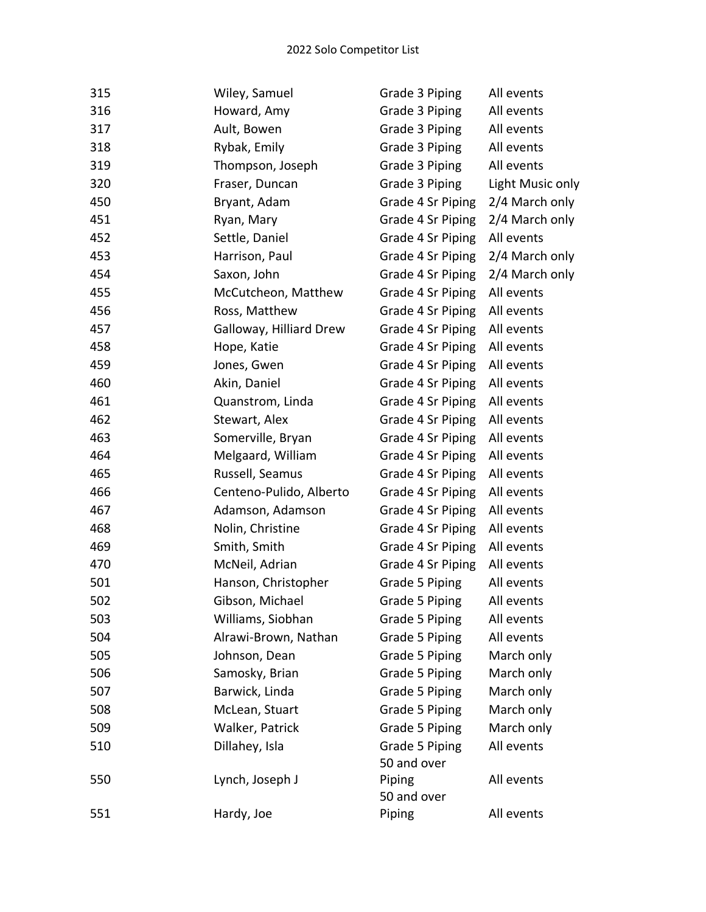| 315 | Wiley, Samuel           | Grade 3 Piping        | All events       |
|-----|-------------------------|-----------------------|------------------|
| 316 | Howard, Amy             | Grade 3 Piping        | All events       |
| 317 | Ault, Bowen             | Grade 3 Piping        | All events       |
| 318 | Rybak, Emily            | Grade 3 Piping        | All events       |
| 319 | Thompson, Joseph        | Grade 3 Piping        | All events       |
| 320 | Fraser, Duncan          | Grade 3 Piping        | Light Music only |
| 450 | Bryant, Adam            | Grade 4 Sr Piping     | 2/4 March only   |
| 451 | Ryan, Mary              | Grade 4 Sr Piping     | 2/4 March only   |
| 452 | Settle, Daniel          | Grade 4 Sr Piping     | All events       |
| 453 | Harrison, Paul          | Grade 4 Sr Piping     | 2/4 March only   |
| 454 | Saxon, John             | Grade 4 Sr Piping     | 2/4 March only   |
| 455 | McCutcheon, Matthew     | Grade 4 Sr Piping     | All events       |
| 456 | Ross, Matthew           | Grade 4 Sr Piping     | All events       |
| 457 | Galloway, Hilliard Drew | Grade 4 Sr Piping     | All events       |
| 458 | Hope, Katie             | Grade 4 Sr Piping     | All events       |
| 459 | Jones, Gwen             | Grade 4 Sr Piping     | All events       |
| 460 | Akin, Daniel            | Grade 4 Sr Piping     | All events       |
| 461 | Quanstrom, Linda        | Grade 4 Sr Piping     | All events       |
| 462 | Stewart, Alex           | Grade 4 Sr Piping     | All events       |
| 463 | Somerville, Bryan       | Grade 4 Sr Piping     | All events       |
| 464 | Melgaard, William       | Grade 4 Sr Piping     | All events       |
| 465 | Russell, Seamus         | Grade 4 Sr Piping     | All events       |
| 466 | Centeno-Pulido, Alberto | Grade 4 Sr Piping     | All events       |
| 467 | Adamson, Adamson        | Grade 4 Sr Piping     | All events       |
| 468 | Nolin, Christine        | Grade 4 Sr Piping     | All events       |
| 469 | Smith, Smith            | Grade 4 Sr Piping     | All events       |
| 470 | McNeil, Adrian          | Grade 4 Sr Piping     | All events       |
| 501 | Hanson, Christopher     | Grade 5 Piping        | All events       |
| 502 | Gibson, Michael         | Grade 5 Piping        | All events       |
| 503 | Williams, Siobhan       | Grade 5 Piping        | All events       |
| 504 | Alrawi-Brown, Nathan    | Grade 5 Piping        | All events       |
| 505 | Johnson, Dean           | Grade 5 Piping        | March only       |
| 506 | Samosky, Brian          | Grade 5 Piping        | March only       |
| 507 | Barwick, Linda          | Grade 5 Piping        | March only       |
| 508 | McLean, Stuart          | Grade 5 Piping        | March only       |
| 509 | Walker, Patrick         | Grade 5 Piping        | March only       |
| 510 | Dillahey, Isla          | Grade 5 Piping        | All events       |
| 550 | Lynch, Joseph J         | 50 and over<br>Piping | All events       |
|     |                         | 50 and over           |                  |
| 551 | Hardy, Joe              | Piping                | All events       |
|     |                         |                       |                  |